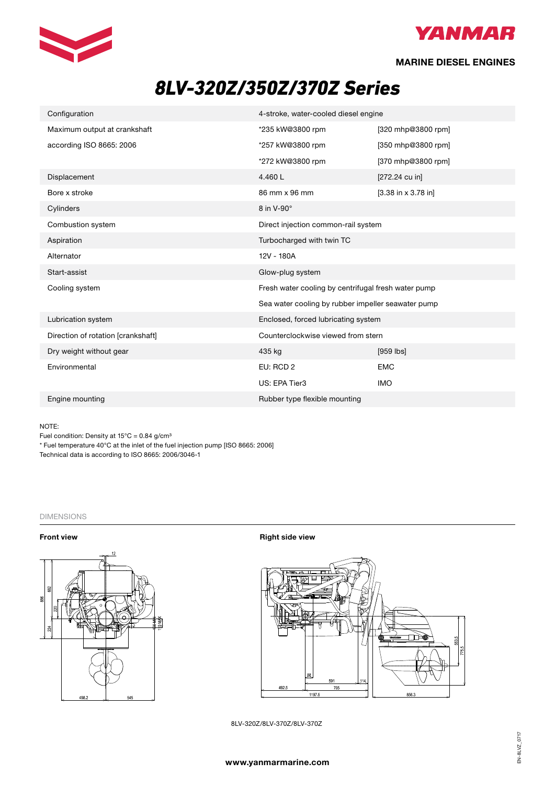



**MARINE DIESEL ENGINES**

# *8LV-320Z/350Z/370Z Series*

| Configuration                      | 4-stroke, water-cooled diesel engine                |                       |
|------------------------------------|-----------------------------------------------------|-----------------------|
| Maximum output at crankshaft       | *235 kW@3800 rpm                                    | [320 mhp@3800 rpm]    |
| according ISO 8665: 2006           | *257 kW@3800 rpm                                    | [350 mhp@3800 rpm]    |
|                                    | *272 kW@3800 rpm                                    | [370 mhp@3800 rpm]    |
| Displacement                       | 4.460L                                              | [272.24 cu in]        |
| Bore x stroke                      | 86 mm x 96 mm                                       | $[3.38$ in x 3.78 in] |
| Cylinders                          | 8 in V-90°                                          |                       |
| Combustion system                  | Direct injection common-rail system                 |                       |
| Aspiration                         | Turbocharged with twin TC                           |                       |
| Alternator                         | 12V - 180A                                          |                       |
| Start-assist                       | Glow-plug system                                    |                       |
| Cooling system                     | Fresh water cooling by centrifugal fresh water pump |                       |
|                                    | Sea water cooling by rubber impeller seawater pump  |                       |
| Lubrication system                 | Enclosed, forced lubricating system                 |                       |
| Direction of rotation [crankshaft] | Counterclockwise viewed from stern                  |                       |
| Dry weight without gear            | 435 kg                                              | $[959$ $ bs]$         |
| Environmental                      | EU: RCD 2                                           | <b>EMC</b>            |
|                                    | US: EPA Tier3                                       | <b>IMO</b>            |
| Engine mounting                    | Rubber type flexible mounting                       |                       |

## NOTE:

Fuel condition: Density at 15°C = 0.84 g/cm<sup>3</sup>

\* Fuel temperature 40°C at the inlet of the fuel injection pump [ISO 8665: 2006]

Technical data is according to ISO 8665: 2006/3046-1

# DIMENSIONS



**Front view** <br>**Front view** <br>**Right side view** 



8LV-320Z/8LV-370Z/8LV-370Z